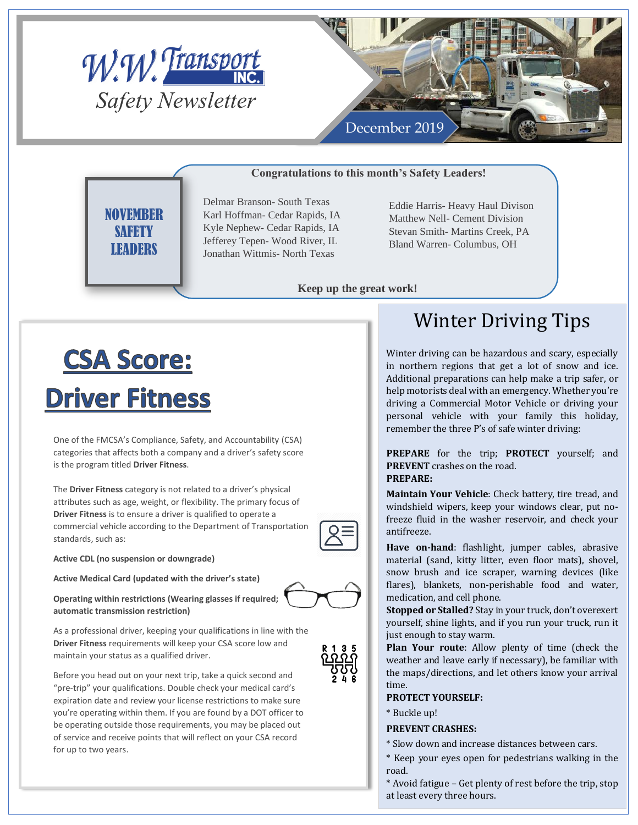



### **Congratulations to this month's Safety Leaders!**

**NOVEMBER SAFETY LEADERS** 

Delmar Branson- South Texas Karl Hoffman- Cedar Rapids, IA Kyle Nephew- Cedar Rapids, IA Jefferey Tepen- Wood River, IL Jonathan Wittmis- North Texas

Eddie Harris- Heavy Haul Divison Matthew Nell- Cement Division Stevan Smith- Martins Creek, PA Bland Warren- Columbus, OH

**Keep up the great work!**

# **CSA Score: Driver Fitness**

One of the FMCSA's Compliance, Safety, and Accountability (CSA) categories that affects both a company and a driver's safety score is the program titled **Driver Fitness**.

The **Driver Fitness** category is not related to a driver's physical attributes such as age, weight, or flexibility. The primary focus of **Driver Fitness** is to ensure a driver is qualified to operate a commercial vehicle according to the Department of Transportation standards, such as:

**Active CDL (no suspension or downgrade)**

**Active Medical Card (updated with the driver's state)**



**Operating within restrictions (Wearing glasses if required; automatic transmission restriction)**

As a professional driver, keeping your qualifications in line with the **Driver Fitness** requirements will keep your CSA score low and maintain your status as a qualified driver.

Before you head out on your next trip, take a quick second and "pre-trip" your qualifications. Double check your medical card's expiration date and review your license restrictions to make sure you're operating within them. If you are found by a DOT officer to be operating outside those requirements, you may be placed out of service and receive points that will reflect on your CSA record for up to two years.

# Winter Driving Tips

Winter driving can be hazardous and scary, especially in northern regions that get a lot of snow and ice. Additional preparations can help make a trip safer, or help motorists deal with an emergency. Whether you're driving a Commercial Motor Vehicle or driving your personal vehicle with your family this holiday, remember the three P's of safe winter driving:

**PREPARE** for the trip; **PROTECT** yourself; and **PREVENT** crashes on the road. **PREPARE:**

**Maintain Your Vehicle**: Check battery, tire tread, and windshield wipers, keep your windows clear, put nofreeze fluid in the washer reservoir, and check your antifreeze.

**Have on-hand**: flashlight, jumper cables, abrasive material (sand, kitty litter, even floor mats), shovel, snow brush and ice scraper, warning devices (like flares), blankets, non-perishable food and water, medication, and cell phone.

**Stopped or Stalled?** Stay in your truck, don't overexert yourself, shine lights, and if you run your truck, run it just enough to stay warm.

**Plan Your route**: Allow plenty of time (check the weather and leave early if necessary), be familiar with the maps/directions, and let others know your arrival time.

### **PROTECT YOURSELF:**

\* Buckle up!

### **PREVENT CRASHES:**

\* Slow down and increase distances between cars.

\* Keep your eyes open for pedestrians walking in the road.

\* Avoid fatigue – Get plenty of rest before the trip, stop at least every three hours.